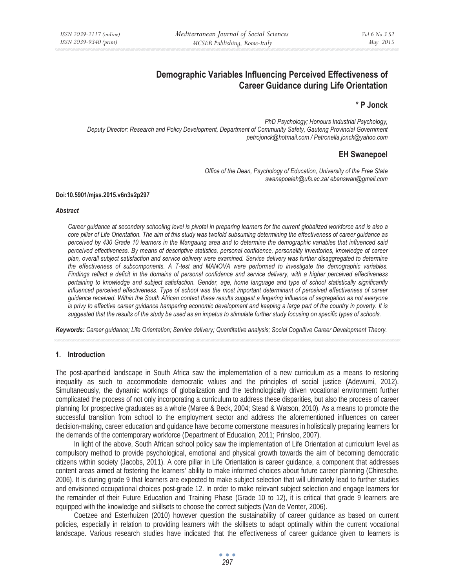# **Demographic Variables Influencing Perceived Effectiveness of Career Guidance during Life Orientation**

### **\* P Jonck**

*PhD Psychology; Honours Industrial Psychology, Deputy Director: Research and Policy Development, Department of Community Safety, Gauteng Provincial Government petrojonck@hotmail.com / Petronella.jonck@yahoo.com* 

# **EH Swanepoel**

*Office of the Dean, Psychology of Education, University of the Free State swanepoeleh@ufs.ac.za/ ebenswan@gmail.com* 

#### **Doi:10.5901/mjss.2015.v6n3s2p297**

#### *Abstract*

*Career guidance at secondary schooling level is pivotal in preparing learners for the current globalized workforce and is also a core pillar of Life Orientation. The aim of this study was twofold subsuming determining the effectiveness of career guidance as perceived by 430 Grade 10 learners in the Mangaung area and to determine the demographic variables that influenced said perceived effectiveness. By means of descriptive statistics, personal confidence, personality inventories, knowledge of career plan, overall subject satisfaction and service delivery were examined. Service delivery was further disaggregated to determine the effectiveness of subcomponents. A T-test and MANOVA were performed to investigate the demographic variables. Findings reflect a deficit in the domains of personal confidence and service delivery, with a higher perceived effectiveness pertaining to knowledge and subject satisfaction. Gender, age, home language and type of school statistically significantly influenced perceived effectiveness. Type of school was the most important determinant of perceived effectiveness of career guidance received. Within the South African context these results suggest a lingering influence of segregation as not everyone is privy to effective career guidance hampering economic development and keeping a large part of the country in poverty. It is suggested that the results of the study be used as an impetus to stimulate further study focusing on specific types of schools.* 

*Keywords: Career guidance; Life Orientation; Service delivery; Quantitative analysis; Social Cognitive Career Development Theory.* 

#### **1. Introduction**

The post-apartheid landscape in South Africa saw the implementation of a new curriculum as a means to restoring inequality as such to accommodate democratic values and the principles of social justice (Adewumi, 2012). Simultaneously, the dynamic workings of globalization and the technologically driven vocational environment further complicated the process of not only incorporating a curriculum to address these disparities, but also the process of career planning for prospective graduates as a whole (Maree & Beck, 2004; Stead & Watson, 2010). As a means to promote the successful transition from school to the employment sector and address the aforementioned influences on career decision-making, career education and guidance have become cornerstone measures in holistically preparing learners for the demands of the contemporary workforce (Department of Education, 2011; Prinsloo, 2007).

In light of the above, South African school policy saw the implementation of Life Orientation at curriculum level as compulsory method to provide psychological, emotional and physical growth towards the aim of becoming democratic citizens within society (Jacobs, 2011). A core pillar in Life Orientation is career guidance, a component that addresses content areas aimed at fostering the learners' ability to make informed choices about future career planning (Chiresche, 2006). It is during grade 9 that learners are expected to make subject selection that will ultimately lead to further studies and envisioned occupational choices post-grade 12. In order to make relevant subject selection and engage learners for the remainder of their Future Education and Training Phase (Grade 10 to 12), it is critical that grade 9 learners are equipped with the knowledge and skillsets to choose the correct subjects (Van de Venter, 2006).

Coetzee and Esterhuizen (2010) however question the sustainability of career guidance as based on current policies, especially in relation to providing learners with the skillsets to adapt optimally within the current vocational landscape. Various research studies have indicated that the effectiveness of career guidance given to learners is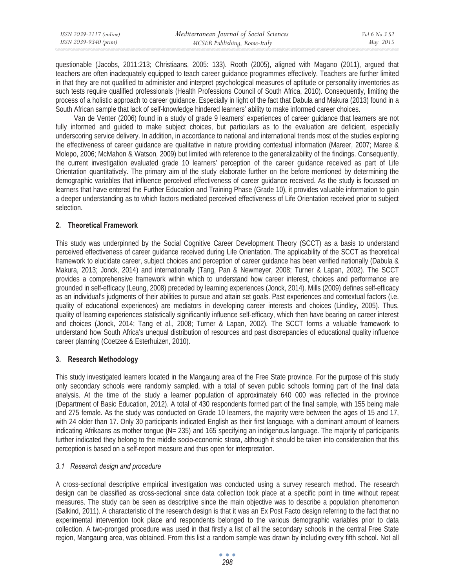| ISSN 2039-2117 (online) | Mediterranean Journal of Social Sciences | Vol 6 No 3 S2 |
|-------------------------|------------------------------------------|---------------|
| ISSN 2039-9340 (print)  | MCSER Publishing, Rome-Italy             | May 2015      |

questionable (Jacobs, 2011:213; Christiaans, 2005: 133). Rooth (2005), aligned with Magano (2011), argued that teachers are often inadequately equipped to teach career guidance programmes effectively. Teachers are further limited in that they are not qualified to administer and interpret psychological measures of aptitude or personality inventories as such tests require qualified professionals (Health Professions Council of South Africa, 2010). Consequently, limiting the process of a holistic approach to career guidance. Especially in light of the fact that Dabula and Makura (2013) found in a South African sample that lack of self-knowledge hindered learners' ability to make informed career choices.

Van de Venter (2006) found in a study of grade 9 learners' experiences of career guidance that learners are not fully informed and guided to make subject choices, but particulars as to the evaluation are deficient, especially underscoring service delivery. In addition, in accordance to national and international trends most of the studies exploring the effectiveness of career guidance are qualitative in nature providing contextual information (Mareer, 2007; Maree & Molepo, 2006; McMahon & Watson, 2009) but limited with reference to the generalizability of the findings. Consequently, the current investigation evaluated grade 10 learners' perception of the career guidance received as part of Life Orientation quantitatively. The primary aim of the study elaborate further on the before mentioned by determining the demographic variables that influence perceived effectiveness of career guidance received. As the study is focussed on learners that have entered the Further Education and Training Phase (Grade 10), it provides valuable information to gain a deeper understanding as to which factors mediated perceived effectiveness of Life Orientation received prior to subject selection.

# **2. Theoretical Framework**

This study was underpinned by the Social Cognitive Career Development Theory (SCCT) as a basis to understand perceived effectiveness of career guidance received during Life Orientation. The applicability of the SCCT as theoretical framework to elucidate career, subject choices and perception of career guidance has been verified nationally (Dabula & Makura, 2013; Jonck, 2014) and internationally (Tang, Pan & Newmeyer, 2008; Turner & Lapan, 2002). The SCCT provides a comprehensive framework within which to understand how career interest, choices and performance are grounded in self-efficacy (Leung, 2008) preceded by learning experiences (Jonck, 2014). Mills (2009) defines self-efficacy as an individual's judgments of their abilities to pursue and attain set goals. Past experiences and contextual factors (i.e. quality of educational experiences) are mediators in developing career interests and choices (Lindley, 2005). Thus, quality of learning experiences statistically significantly influence self-efficacy, which then have bearing on career interest and choices (Jonck, 2014; Tang et al., 2008; Turner & Lapan, 2002). The SCCT forms a valuable framework to understand how South Africa's unequal distribution of resources and past discrepancies of educational quality influence career planning (Coetzee & Esterhuizen, 2010).

# **3. Research Methodology**

This study investigated learners located in the Mangaung area of the Free State province. For the purpose of this study only secondary schools were randomly sampled, with a total of seven public schools forming part of the final data analysis. At the time of the study a learner population of approximately 640 000 was reflected in the province (Department of Basic Education, 2012). A total of 430 respondents formed part of the final sample, with 155 being male and 275 female. As the study was conducted on Grade 10 learners, the majority were between the ages of 15 and 17, with 24 older than 17. Only 30 participants indicated English as their first language, with a dominant amount of learners indicating Afrikaans as mother tongue (N= 235) and 165 specifying an indigenous language. The majority of participants further indicated they belong to the middle socio-economic strata, although it should be taken into consideration that this perception is based on a self-report measure and thus open for interpretation.

#### *3.1 Research design and procedure*

A cross-sectional descriptive empirical investigation was conducted using a survey research method. The research design can be classified as cross-sectional since data collection took place at a specific point in time without repeat measures. The study can be seen as descriptive since the main objective was to describe a population phenomenon (Salkind, 2011). A characteristic of the research design is that it was an Ex Post Facto design referring to the fact that no experimental intervention took place and respondents belonged to the various demographic variables prior to data collection. A two-pronged procedure was used in that firstly a list of all the secondary schools in the central Free State region, Mangaung area, was obtained. From this list a random sample was drawn by including every fifth school. Not all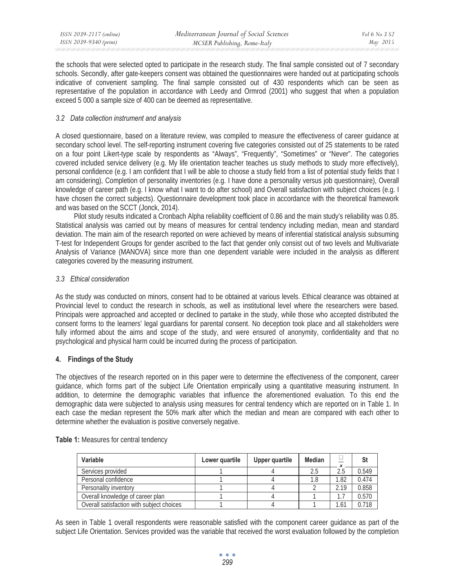the schools that were selected opted to participate in the research study. The final sample consisted out of 7 secondary schools. Secondly, after gate-keepers consent was obtained the questionnaires were handed out at participating schools indicative of convenient sampling. The final sample consisted out of 430 respondents which can be seen as representative of the population in accordance with Leedy and Ormrod (2001) who suggest that when a population exceed 5 000 a sample size of 400 can be deemed as representative.

### *3.2 Data collection instrument and analysis*

A closed questionnaire, based on a literature review, was compiled to measure the effectiveness of career guidance at secondary school level. The self-reporting instrument covering five categories consisted out of 25 statements to be rated on a four point Likert-type scale by respondents as "Always", "Frequently", "Sometimes" or "Never". The categories covered included service delivery (e.g. My life orientation teacher teaches us study methods to study more effectively), personal confidence (e.g. I am confident that I will be able to choose a study field from a list of potential study fields that I am considering), Completion of personality inventories (e.g. I have done a personality versus job questionnaire), Overall knowledge of career path (e.g. I know what I want to do after school) and Overall satisfaction with subject choices (e.g. I have chosen the correct subjects). Questionnaire development took place in accordance with the theoretical framework and was based on the SCCT (Jonck, 2014).

Pilot study results indicated a Cronbach Alpha reliability coefficient of 0.86 and the main study's reliability was 0.85. Statistical analysis was carried out by means of measures for central tendency including median, mean and standard deviation. The main aim of the research reported on were achieved by means of inferential statistical analysis subsuming T-test for Independent Groups for gender ascribed to the fact that gender only consist out of two levels and Multivariate Analysis of Variance (MANOVA) since more than one dependent variable were included in the analysis as different categories covered by the measuring instrument.

# *3.3 Ethical consideration*

As the study was conducted on minors, consent had to be obtained at various levels. Ethical clearance was obtained at Provincial level to conduct the research in schools, as well as institutional level where the researchers were based. Principals were approached and accepted or declined to partake in the study, while those who accepted distributed the consent forms to the learners' legal guardians for parental consent. No deception took place and all stakeholders were fully informed about the aims and scope of the study, and were ensured of anonymity, confidentiality and that no psychological and physical harm could be incurred during the process of participation.

# **4. Findings of the Study**

The objectives of the research reported on in this paper were to determine the effectiveness of the component, career guidance, which forms part of the subject Life Orientation empirically using a quantitative measuring instrument. In addition, to determine the demographic variables that influence the aforementioned evaluation. To this end the demographic data were subjected to analysis using measures for central tendency which are reported on in Table 1. In each case the median represent the 50% mark after which the median and mean are compared with each other to determine whether the evaluation is positive conversely negative.

| Variable                                  | Lower quartile | Upper quartile | <b>Median</b> | □    | St    |
|-------------------------------------------|----------------|----------------|---------------|------|-------|
| Services provided                         |                |                |               | 2.5  | 0.549 |
| Personal confidence                       |                |                |               | 1.82 | 0.474 |
| Personality inventory                     |                |                |               | 2.19 | 0.858 |
| Overall knowledge of career plan          |                |                |               | 1.7  | 0.570 |
| Overall satisfaction with subject choices |                |                |               | 1.61 | 0.718 |

# **Table 1:** Measures for central tendency

As seen in Table 1 overall respondents were reasonable satisfied with the component career guidance as part of the subject Life Orientation. Services provided was the variable that received the worst evaluation followed by the completion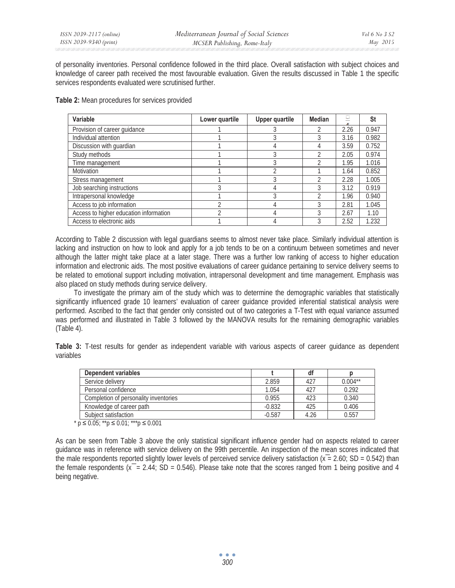of personality inventories. Personal confidence followed in the third place. Overall satisfaction with subject choices and knowledge of career path received the most favourable evaluation. Given the results discussed in Table 1 the specific services respondents evaluated were scrutinised further.

**Table 2:** Mean procedures for services provided

| Variable                               | Lower quartile | Upper quartile | <b>Median</b> | n    | <b>St</b> |
|----------------------------------------|----------------|----------------|---------------|------|-----------|
| Provision of career quidance           |                |                |               | 2.26 | 0.947     |
| Individual attention                   |                |                |               | 3.16 | 0.982     |
| Discussion with guardian               |                |                |               | 3.59 | 0.752     |
| Study methods                          |                |                |               | 2.05 | 0.974     |
| Time management                        |                |                |               | 1.95 | 1.016     |
| Motivation                             |                |                |               | 1.64 | 0.852     |
| Stress management                      |                |                |               | 2.28 | 1.005     |
| Job searching instructions             |                |                |               | 3.12 | 0.919     |
| Intrapersonal knowledge                |                |                |               | 1.96 | 0.940     |
| Access to job information              |                |                |               | 2.81 | 1.045     |
| Access to higher education information |                |                |               | 2.67 | 1.10      |
| Access to electronic aids              |                |                |               | 2.52 | 1.232     |

According to Table 2 discussion with legal guardians seems to almost never take place. Similarly individual attention is lacking and instruction on how to look and apply for a job tends to be on a continuum between sometimes and never although the latter might take place at a later stage. There was a further low ranking of access to higher education information and electronic aids. The most positive evaluations of career guidance pertaining to service delivery seems to be related to emotional support including motivation, intrapersonal development and time management. Emphasis was also placed on study methods during service delivery.

To investigate the primary aim of the study which was to determine the demographic variables that statistically significantly influenced grade 10 learners' evaluation of career guidance provided inferential statistical analysis were performed. Ascribed to the fact that gender only consisted out of two categories a T-Test with equal variance assumed was performed and illustrated in Table 3 followed by the MANOVA results for the remaining demographic variables (Table 4).

**Table 3:** T-test results for gender as independent variable with various aspects of career guidance as dependent variables

| Dependent variables                   |          | ď    |           |
|---------------------------------------|----------|------|-----------|
| Service delivery                      | 2.859    | 427  | $0.004**$ |
| Personal confidence                   | 1.054    | 427  | 0.292     |
| Completion of personality inventories | 0.955    | 423  | 0.340     |
| Knowledge of career path              | $-0.832$ | 425  | 0.406     |
| Subject satisfaction                  | $-0.587$ | 4.26 | 0.557     |

\*  $p \le 0.05$ ; \*\* $p \le 0.01$ ; \*\*\* $p \le 0.001$ 

As can be seen from Table 3 above the only statistical significant influence gender had on aspects related to career guidance was in reference with service delivery on the 99th percentile. An inspection of the mean scores indicated that the male respondents reported slightly lower levels of perceived service delivery satisfaction ( $x = 2.60$ ; SD = 0.542) than the female respondents ( $x = 2.44$ ; SD = 0.546). Please take note that the scores ranged from 1 being positive and 4 being negative.

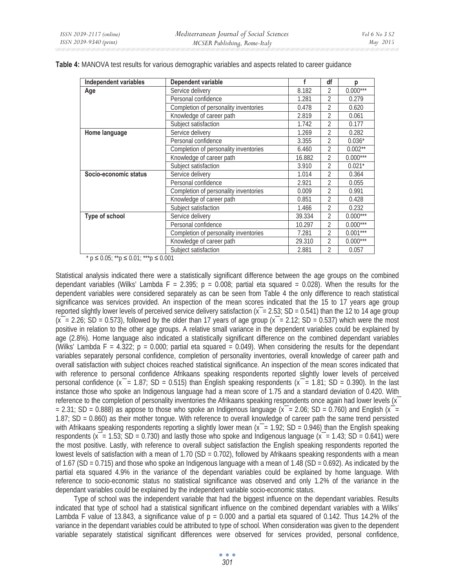| <b>Independent variables</b> | Dependent variable                    |        | df                       | D          |
|------------------------------|---------------------------------------|--------|--------------------------|------------|
| Age                          | Service delivery                      | 8.182  | 2                        | $0.000***$ |
|                              | Personal confidence                   | 1.281  | $\mathfrak{D}$           | 0.279      |
|                              | Completion of personality inventories | 0.478  | 2                        | 0.620      |
|                              | Knowledge of career path              | 2.819  | $\overline{2}$           | 0.061      |
|                              | Subject satisfaction                  | 1.742  | 2                        | 0.177      |
| Home language                | Service delivery                      | 1.269  | $\mathfrak{D}$           | 0.282      |
|                              | Personal confidence                   | 3.355  | $\mathfrak{D}$           | $0.036*$   |
|                              | Completion of personality inventories | 6.460  | $\overline{\phantom{a}}$ | $0.002**$  |
|                              | Knowledge of career path              | 16.882 | $\mathfrak{D}$           | $0.000***$ |
|                              | Subject satisfaction                  | 3.910  | 2                        | $0.021*$   |
| Socio-economic status        | Service delivery                      | 1.014  | 2                        | 0.364      |
|                              | Personal confidence                   | 2.921  | $\overline{2}$           | 0.055      |
|                              | Completion of personality inventories | 0.009  | 2                        | 0.991      |
|                              | Knowledge of career path              | 0.851  | $\overline{2}$           | 0.428      |
|                              | Subject satisfaction                  | 1.466  | 2                        | 0.232      |
| Type of school               | Service delivery                      | 39.334 | $\overline{2}$           | $0.000***$ |
|                              | Personal confidence                   | 10.297 | 2                        | $0.000***$ |
|                              | Completion of personality inventories | 7.281  | $\overline{2}$           | $0.001***$ |
|                              | Knowledge of career path              | 29.310 | 2                        | $0.000***$ |
|                              | Subject satisfaction                  | 2.881  | $\overline{2}$           | 0.057      |

**Table 4:** MANOVA test results for various demographic variables and aspects related to career guidance

\*  $p \le 0.05$ ; \*\* $p \le 0.01$ ; \*\*\* $p \le 0.001$ 

Statistical analysis indicated there were a statistically significant difference between the age groups on the combined dependant variables (Wilks' Lambda F = 2.395;  $p = 0.008$ ; partial eta squared = 0.028). When the results for the dependent variables were considered separately as can be seen from Table 4 the only difference to reach statistical significance was services provided. An inspection of the mean scores indicated that the 15 to 17 years age group reported slightly lower levels of perceived service delivery satisfaction  $(x = 2.53; SD = 0.541)$  than the 12 to 14 age group  $(x = 2.26$ ; SD = 0.573), followed by the older than 17 years of age group  $(x = 2.12$ ; SD = 0.537) which were the most positive in relation to the other age groups. A relative small variance in the dependent variables could be explained by age (2.8%). Home language also indicated a statistically significant difference on the combined dependant variables (Wilks' Lambda F = 4.322;  $p = 0.000$ ; partial eta squared = 0.049). When considering the results for the dependant variables separately personal confidence, completion of personality inventories, overall knowledge of career path and overall satisfaction with subject choices reached statistical significance. An inspection of the mean scores indicated that with reference to personal confidence Afrikaans speaking respondents reported slightly lower levels of perceived personal confidence  $(x = 1.87; SD = 0.515)$  than English speaking respondents  $(x = 1.81; SD = 0.390)$ . In the last instance those who spoke an Indigenous language had a mean score of 1.75 and a standard deviation of 0.420. With reference to the completion of personality inventories the Afrikaans speaking respondents once again had lower levels ( $x^{-}$  $= 2.31$ ; SD = 0.888) as appose to those who spoke an Indigenous language (x = 2.06; SD = 0.760) and English (x = 1.87; SD = 0.860) as their mother tongue. With reference to overall knowledge of career path the same trend persisted with Afrikaans speaking respondents reporting a slightly lower mean  $(x = 1.92; SD = 0.946)$  than the English speaking respondents  $(x = 1.53; SD = 0.730)$  and lastly those who spoke and Indigenous language  $(x = 1.43; SD = 0.641)$  were the most positive. Lastly, with reference to overall subject satisfaction the English speaking respondents reported the lowest levels of satisfaction with a mean of 1.70 (SD = 0.702), followed by Afrikaans speaking respondents with a mean of  $1.67$  (SD = 0.715) and those who spoke an Indigenous language with a mean of  $1.48$  (SD = 0.692). As indicated by the partial eta squared 4.9% in the variance of the dependant variables could be explained by home language. With reference to socio-economic status no statistical significance was observed and only 1.2% of the variance in the dependant variables could be explained by the independent variable socio-economic status.

Type of school was the independent variable that had the biggest influence on the dependant variables. Results indicated that type of school had a statistical significant influence on the combined dependant variables with a Wilks' Lambda F value of 13.843, a significance value of  $p = 0.000$  and a partial eta squared of 0.142. Thus 14.2% of the variance in the dependant variables could be attributed to type of school. When consideration was given to the dependent variable separately statistical significant differences were observed for services provided, personal confidence,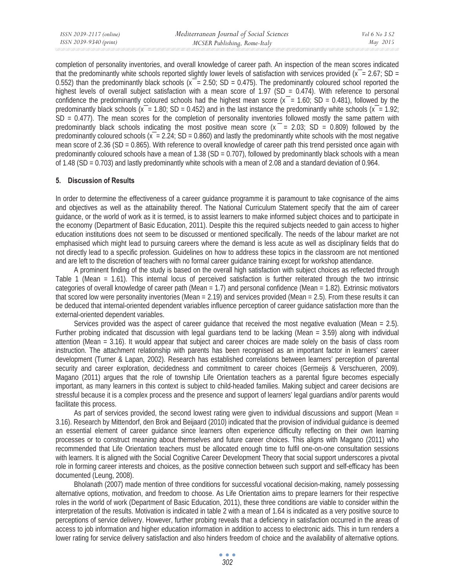| ISSN 2039-2117 (online) | Mediterranean Journal of Social Sciences | Vol 6 No 3 S2 |
|-------------------------|------------------------------------------|---------------|
| ISSN 2039-9340 (print)  | MCSER Publishing, Rome-Italy             | May 2015      |

completion of personality inventories, and overall knowledge of career path. An inspection of the mean scores indicated that the predominantly white schools reported slightly lower levels of satisfaction with services provided ( $x = 2.67$ ; SD = 0.552) than the predominantly black schools ( $x = 2.50$ ; SD = 0.475). The predominantly coloured school reported the highest levels of overall subject satisfaction with a mean score of 1.97 (SD = 0.474). With reference to personal confidence the predominantly coloured schools had the highest mean score  $(x^2 = 1.60; SD = 0.481)$ , followed by the predominantly black schools  $(x = 1.80; SD = 0.452)$  and in the last instance the predominantly white schools  $(x = 1.92;$ SD = 0.477). The mean scores for the completion of personality inventories followed mostly the same pattern with predominantly black schools indicating the most positive mean score  $(x = 2.03; SD = 0.809)$  followed by the predominantly coloured schools  $(\bar{x} = 2.24; SD = 0.860)$  and lastly the predominantly white schools with the most negative mean score of 2.36 (SD = 0.865). With reference to overall knowledge of career path this trend persisted once again with predominantly coloured schools have a mean of 1.38 (SD = 0.707), followed by predominantly black schools with a mean of 1.48 (SD = 0.703) and lastly predominantly white schools with a mean of 2.08 and a standard deviation of 0.964.

#### **5. Discussion of Results**

In order to determine the effectiveness of a career guidance programme it is paramount to take cognisance of the aims and objectives as well as the attainability thereof. The National Curriculum Statement specify that the aim of career guidance, or the world of work as it is termed, is to assist learners to make informed subject choices and to participate in the economy (Department of Basic Education, 2011). Despite this the required subjects needed to gain access to higher education institutions does not seem to be discussed or mentioned specifically. The needs of the labour market are not emphasised which might lead to pursuing careers where the demand is less acute as well as disciplinary fields that do not directly lead to a specific profession. Guidelines on how to address these topics in the classroom are not mentioned and are left to the discretion of teachers with no formal career guidance training except for workshop attendance.

A prominent finding of the study is based on the overall high satisfaction with subject choices as reflected through Table 1 (Mean = 1.61). This internal locus of perceived satisfaction is further reiterated through the two intrinsic categories of overall knowledge of career path (Mean = 1.7) and personal confidence (Mean = 1.82). Extrinsic motivators that scored low were personality inventories (Mean = 2.19) and services provided (Mean = 2.5). From these results it can be deduced that internal-oriented dependent variables influence perception of career guidance satisfaction more than the external-oriented dependent variables.

Services provided was the aspect of career guidance that received the most negative evaluation (Mean = 2.5). Further probing indicated that discussion with legal guardians tend to be lacking (Mean  $=$  3.59) along with individual attention (Mean = 3.16). It would appear that subject and career choices are made solely on the basis of class room instruction. The attachment relationship with parents has been recognised as an important factor in learners' career development (Turner & Lapan, 2002). Research has established correlations between learners' perception of parental security and career exploration, decidedness and commitment to career choices (Germeijs & Verschueren, 2009). Magano (2011) argues that the role of township Life Orientation teachers as a parental figure becomes especially important, as many learners in this context is subject to child-headed families. Making subject and career decisions are stressful because it is a complex process and the presence and support of learners' legal guardians and/or parents would facilitate this process.

As part of services provided, the second lowest rating were given to individual discussions and support (Mean = 3.16). Research by Mittendorf, den Brok and Beijaard (2010) indicated that the provision of individual guidance is deemed an essential element of career guidance since learners often experience difficulty reflecting on their own learning processes or to construct meaning about themselves and future career choices. This aligns with Magano (2011) who recommended that Life Orientation teachers must be allocated enough time to fulfil one-on-one consultation sessions with learners. It is aligned with the Social Cognitive Career Development Theory that social support underscores a pivotal role in forming career interests and choices, as the positive connection between such support and self-efficacy has been documented (Leung, 2008).

Bholanath (2007) made mention of three conditions for successful vocational decision-making, namely possessing alternative options, motivation, and freedom to choose. As Life Orientation aims to prepare learners for their respective roles in the world of work (Department of Basic Education, 2011), these three conditions are viable to consider within the interpretation of the results. Motivation is indicated in table 2 with a mean of 1.64 is indicated as a very positive source to perceptions of service delivery. However, further probing reveals that a deficiency in satisfaction occurred in the areas of access to job information and higher education information in addition to access to electronic aids. This in turn renders a lower rating for service delivery satisfaction and also hinders freedom of choice and the availability of alternative options.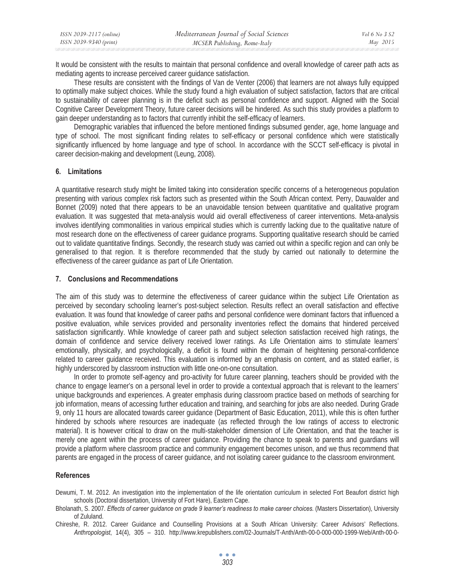| ISSN 2039-2117 (online) | Mediterranean Journal of Social Sciences | Vol 6 No 3 S2 |
|-------------------------|------------------------------------------|---------------|
| ISSN 2039-9340 (print)  | MCSER Publishing, Rome-Italy             | May 2015      |

It would be consistent with the results to maintain that personal confidence and overall knowledge of career path acts as mediating agents to increase perceived career guidance satisfaction.

These results are consistent with the findings of Van de Venter (2006) that learners are not always fully equipped to optimally make subject choices. While the study found a high evaluation of subject satisfaction, factors that are critical to sustainability of career planning is in the deficit such as personal confidence and support. Aligned with the Social Cognitive Career Development Theory, future career decisions will be hindered. As such this study provides a platform to gain deeper understanding as to factors that currently inhibit the self-efficacy of learners.

Demographic variables that influenced the before mentioned findings subsumed gender, age, home language and type of school. The most significant finding relates to self-efficacy or personal confidence which were statistically significantly influenced by home language and type of school. In accordance with the SCCT self-efficacy is pivotal in career decision-making and development (Leung, 2008).

#### **6. Limitations**

A quantitative research study might be limited taking into consideration specific concerns of a heterogeneous population presenting with various complex risk factors such as presented within the South African context. Perry, Dauwalder and Bonnet (2009) noted that there appears to be an unavoidable tension between quantitative and qualitative program evaluation. It was suggested that meta-analysis would aid overall effectiveness of career interventions. Meta-analysis involves identifying commonalities in various empirical studies which is currently lacking due to the qualitative nature of most research done on the effectiveness of career guidance programs. Supporting qualitative research should be carried out to validate quantitative findings. Secondly, the research study was carried out within a specific region and can only be generalised to that region. It is therefore recommended that the study by carried out nationally to determine the effectiveness of the career guidance as part of Life Orientation.

#### **7. Conclusions and Recommendations**

The aim of this study was to determine the effectiveness of career guidance within the subject Life Orientation as perceived by secondary schooling learner's post-subject selection. Results reflect an overall satisfaction and effective evaluation. It was found that knowledge of career paths and personal confidence were dominant factors that influenced a positive evaluation, while services provided and personality inventories reflect the domains that hindered perceived satisfaction significantly. While knowledge of career path and subject selection satisfaction received high ratings, the domain of confidence and service delivery received lower ratings. As Life Orientation aims to stimulate learners' emotionally, physically, and psychologically, a deficit is found within the domain of heightening personal-confidence related to career guidance received. This evaluation is informed by an emphasis on content, and as stated earlier, is highly underscored by classroom instruction with little one-on-one consultation.

In order to promote self-agency and pro-activity for future career planning, teachers should be provided with the chance to engage learner's on a personal level in order to provide a contextual approach that is relevant to the learners' unique backgrounds and experiences. A greater emphasis during classroom practice based on methods of searching for job information, means of accessing further education and training, and searching for jobs are also needed. During Grade 9, only 11 hours are allocated towards career guidance (Department of Basic Education, 2011), while this is often further hindered by schools where resources are inadequate (as reflected through the low ratings of access to electronic material). It is however critical to draw on the multi-stakeholder dimension of Life Orientation, and that the teacher is merely one agent within the process of career guidance. Providing the chance to speak to parents and guardians will provide a platform where classroom practice and community engagement becomes unison, and we thus recommend that parents are engaged in the process of career guidance, and not isolating career guidance to the classroom environment.

#### **References**

Dewumi, T. M. 2012. An investigation into the implementation of the life orientation curriculum in selected Fort Beaufort district high schools (Doctoral dissertation, University of Fort Hare), Eastern Cape.

- Bholanath, S. 2007. *Effects of career guidance on grade 9 learner's readiness to make career choices*. (Masters Dissertation), University of Zululand.
- Chireshe, R. 2012. Career Guidance and Counselling Provisions at a South African University: Career Advisors' Reflections. *Anthropologist*, 14(4), 305 – 310. http://www.krepublishers.com/02-Journals/T-Anth/Anth-00-0-000-000-1999-Web/Anth-00-0-